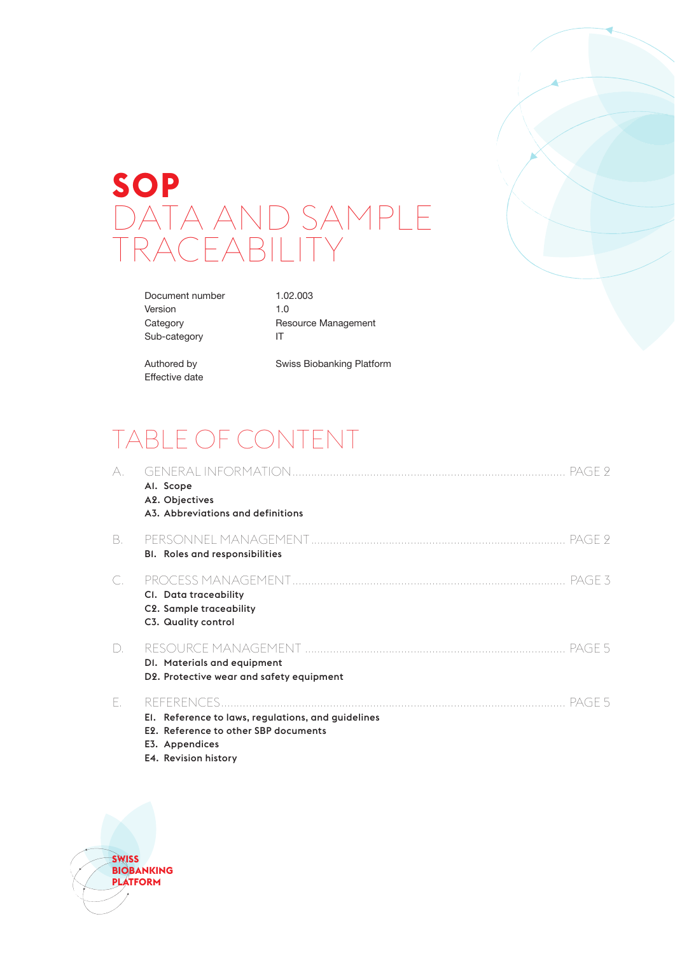# **SOP** DATA AND SAMPLE RACEABILIT

Document number 1.02.003 Version 1.0 Sub-category IT

Category Resource Management

Effective date

Authored by Swiss Biobanking Platform

## TABLE OF CONTENT

| А. | PAGE 2<br>Al. Scope<br>A2. Objectives<br>A3. Abbreviations and definitions                                                                      |
|----|-------------------------------------------------------------------------------------------------------------------------------------------------|
| В. | <b>BI.</b> Roles and responsibilities                                                                                                           |
| С. | PAGE 3<br>CI. Data traceability<br>C2. Sample traceability<br>C3. Quality control                                                               |
| D. | PAGE 5<br>DI. Materials and equipment<br>D2. Protective wear and safety equipment                                                               |
| Е. | -PAGE 5<br>El. Reference to laws, regulations, and guidelines<br>E2. Reference to other SBP documents<br>E3. Appendices<br>E4. Revision history |

**SWISS BIOBANKING PLATFORM**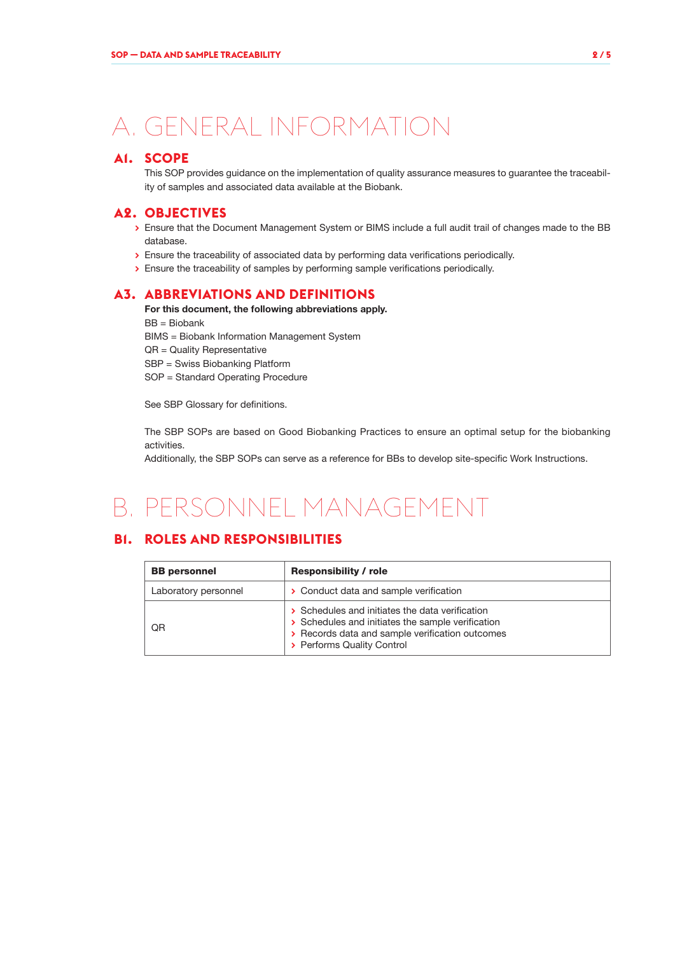## A. GENERAL INFORMATION

## **A1. SCOPE**

This SOP provides guidance on the implementation of quality assurance measures to guarantee the traceability of samples and associated data available at the Biobank.

### **A2. OBJECTIVES**

- **>** Ensure that the Document Management System or BIMS include a full audit trail of changes made to the BB database.
- **>** Ensure the traceability of associated data by performing data verifications periodically.
- **>** Ensure the traceability of samples by performing sample verifications periodically.

### **A3. ABBREVIATIONS AND DEFINITIONS**

For this document, the following abbreviations apply. BB = Biobank BIMS = Biobank Information Management System QR = Quality Representative SBP = Swiss Biobanking Platform SOP = Standard Operating Procedure

See SBP Glossary for definitions.

The SBP SOPs are based on Good Biobanking Practices to ensure an optimal setup for the biobanking activities.

Additionally, the SBP SOPs can serve as a reference for BBs to develop site-specific Work Instructions.

## B. PERSONNEL MANAGEMENT

## **B1. ROLES AND RESPONSIBILITIES**

| <b>BB</b> personnel  | <b>Responsibility / role</b>                                                                                                                                                          |  |  |
|----------------------|---------------------------------------------------------------------------------------------------------------------------------------------------------------------------------------|--|--|
| Laboratory personnel | > Conduct data and sample verification                                                                                                                                                |  |  |
| ΟR                   | > Schedules and initiates the data verification<br>> Schedules and initiates the sample verification<br>> Records data and sample verification outcomes<br>> Performs Quality Control |  |  |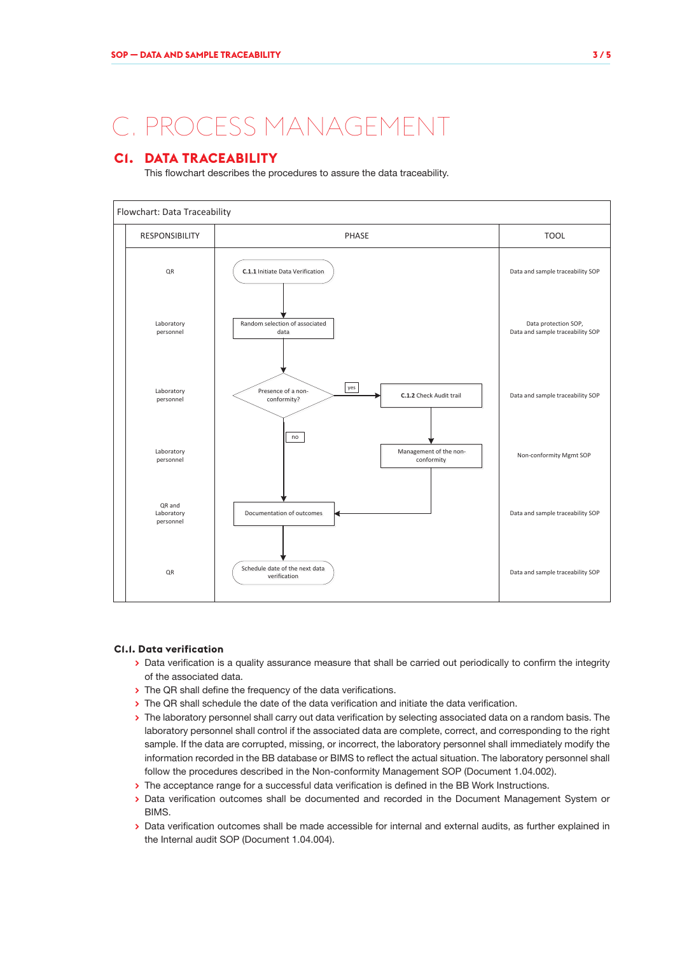## C. PROCESS MANAGEMENT

## **C1. DATA TRACEABILITY**

This flowchart describes the procedures to assure the data traceability.



#### **C1.1. Data verification**

- **>** Data verification is a quality assurance measure that shall be carried out periodically to confirm the integrity of the associated data.
- **>** The QR shall define the frequency of the data verifications.
- > The QR shall schedule the date of the data verification and initiate the data verification.
- **>** The laboratory personnel shall carry out data verification by selecting associated data on a random basis. The laboratory personnel shall control if the associated data are complete, correct, and corresponding to the right sample. If the data are corrupted, missing, or incorrect, the laboratory personnel shall immediately modify the information recorded in the BB database or BIMS to reflect the actual situation. The laboratory personnel shall follow the procedures described in the Non-conformity Management SOP (Document 1.04.002).
- **>** The acceptance range for a successful data verification is defined in the BB Work Instructions.
- **>** Data verification outcomes shall be documented and recorded in the Document Management System or **BIMS**
- **>** Data verification outcomes shall be made accessible for internal and external audits, as further explained in the Internal audit SOP (Document 1.04.004).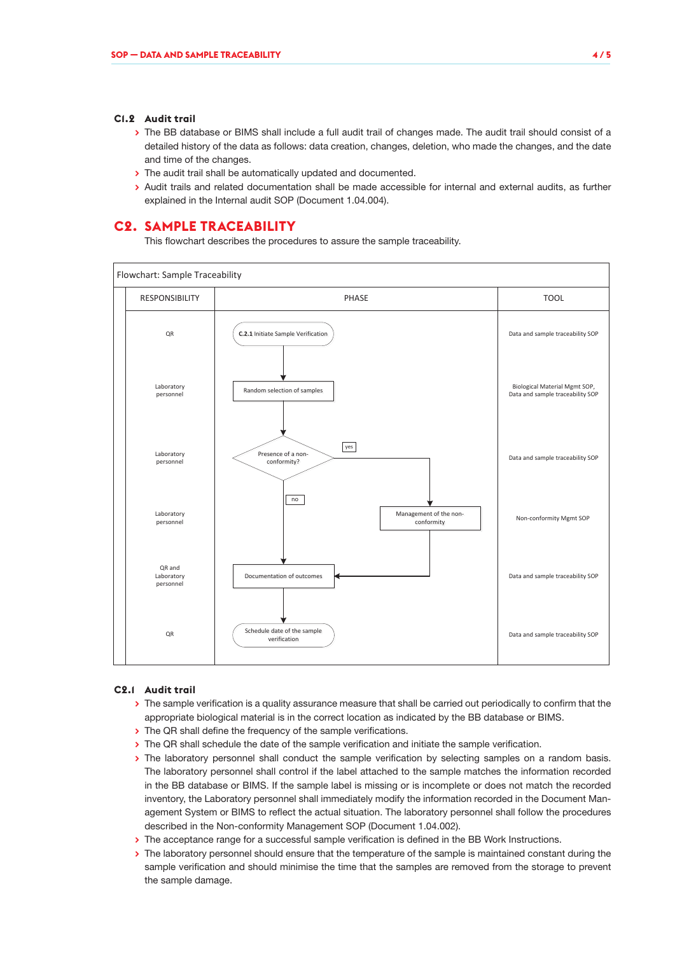#### **C1.2 Audit trail**

- **>** The BB database or BIMS shall include a full audit trail of changes made. The audit trail should consist of a detailed history of the data as follows: data creation, changes, deletion, who made the changes, and the date and time of the changes.
- **>** The audit trail shall be automatically updated and documented.
- **>** Audit trails and related documentation shall be made accessible for internal and external audits, as further explained in the Internal audit SOP (Document 1.04.004).

#### **C2. SAMPLE TRACEABILITY**

This flowchart describes the procedures to assure the sample traceability.



#### **C2.1 Audit trail**

- **>** The sample verification is a quality assurance measure that shall be carried out periodically to confirm that the appropriate biological material is in the correct location as indicated by the BB database or BIMS.
- **>** The QR shall define the frequency of the sample verifications.
- **>** The QR shall schedule the date of the sample verification and initiate the sample verification.
- **>** The laboratory personnel shall conduct the sample verification by selecting samples on a random basis. The laboratory personnel shall control if the label attached to the sample matches the information recorded in the BB database or BIMS. If the sample label is missing or is incomplete or does not match the recorded inventory, the Laboratory personnel shall immediately modify the information recorded in the Document Management System or BIMS to reflect the actual situation. The laboratory personnel shall follow the procedures described in the Non-conformity Management SOP (Document 1.04.002).
- **>** The acceptance range for a successful sample verification is defined in the BB Work Instructions.
- **>** The laboratory personnel should ensure that the temperature of the sample is maintained constant during the sample verification and should minimise the time that the samples are removed from the storage to prevent the sample damage.